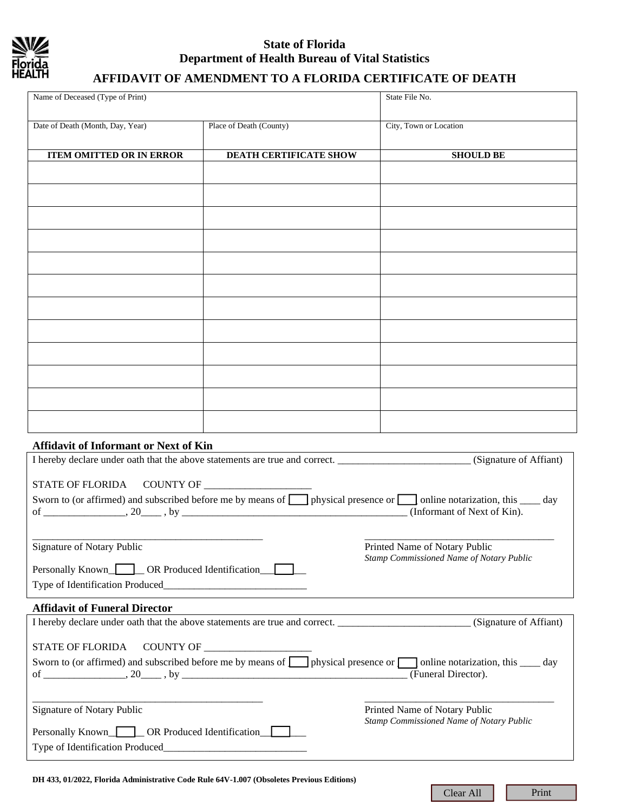

### **State of Florida Department of Health Bureau of Vital Statistics**

### **AFFIDAVIT OF AMENDMENT TO A FLORIDA CERTIFICATE OF DEATH**

| Name of Deceased (Type of Print)                                                                                                                                                                                                                               |                         | State File No.                |
|----------------------------------------------------------------------------------------------------------------------------------------------------------------------------------------------------------------------------------------------------------------|-------------------------|-------------------------------|
| Date of Death (Month, Day, Year)                                                                                                                                                                                                                               | Place of Death (County) | City, Town or Location        |
| <b>ITEM OMITTED OR IN ERROR</b>                                                                                                                                                                                                                                | DEATH CERTIFICATE SHOW  | <b>SHOULD BE</b>              |
|                                                                                                                                                                                                                                                                |                         |                               |
|                                                                                                                                                                                                                                                                |                         |                               |
|                                                                                                                                                                                                                                                                |                         |                               |
|                                                                                                                                                                                                                                                                |                         |                               |
|                                                                                                                                                                                                                                                                |                         |                               |
|                                                                                                                                                                                                                                                                |                         |                               |
|                                                                                                                                                                                                                                                                |                         |                               |
|                                                                                                                                                                                                                                                                |                         |                               |
|                                                                                                                                                                                                                                                                |                         |                               |
|                                                                                                                                                                                                                                                                |                         |                               |
| <b>Affidavit of Informant or Next of Kin</b>                                                                                                                                                                                                                   |                         |                               |
| I hereby declare under oath that the above statements are true and correct. ________________________(Signature of Affiant)                                                                                                                                     |                         |                               |
| COUNTY OF<br><b>STATE OF FLORIDA</b><br>Sworn to (or affirmed) and subscribed before me by means of <b>no</b> physical presence or <b>no</b> online notarization, this <u>see</u> day<br>(Informant of Next of Kin).                                           |                         |                               |
| Signature of Notary Public<br>Printed Name of Notary Public<br>Stamp Commissioned Name of Notary Public<br>Personally Known COR Produced Identification                                                                                                        |                         |                               |
| Type of Identification Produced_                                                                                                                                                                                                                               |                         |                               |
| <b>Affidavit of Funeral Director</b>                                                                                                                                                                                                                           |                         |                               |
| I hereby declare under oath that the above statements are true and correct. (Signature of Affiant)                                                                                                                                                             |                         |                               |
| <b>STATE OF FLORIDA</b>                                                                                                                                                                                                                                        |                         |                               |
| Sworn to (or affirmed) and subscribed before me by means of <b>no</b> physical presence or <b>no produce</b> on this <u>subscribed</u> before me by means of physical presence or <b>no</b> online notarization, this <u>subscribed</u><br>(Funeral Director). |                         |                               |
| Signature of Notary Public                                                                                                                                                                                                                                     |                         | Printed Name of Notary Public |
| Stamp Commissioned Name of Notary Public<br>Personally Known OR Produced Identification                                                                                                                                                                        |                         |                               |
|                                                                                                                                                                                                                                                                |                         |                               |

Clear All Print